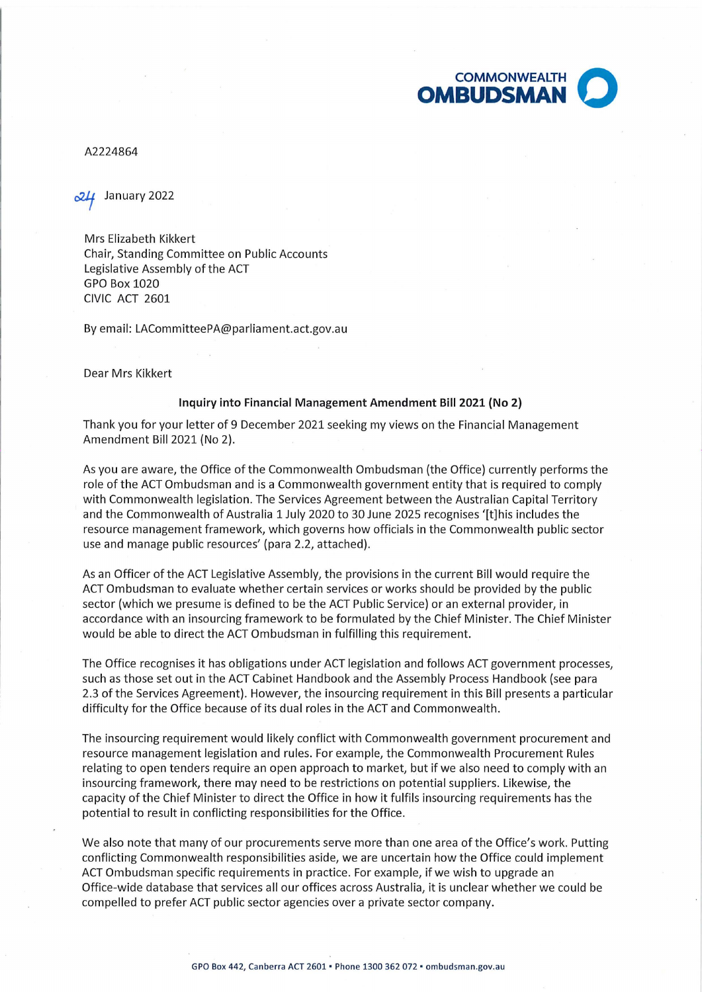

A2224864

January 2022

Mrs Elizabeth Kikkert Chair, Standing Committee on Public Accounts Legislative Assembly of the ACT GPO Box 1020 CIVIC ACT 2601

By email: LACommitteePA@parliament.act.gov.au

Dear Mrs Kikkert

## **Inquiry into Financial Management Amendment Bill 2021 (No 2)**

Thank you for your letter of 9 December 2021 seeking my views on the Financial Management Amendment Bill 2021 (No 2).

As you are aware, the Office of the Commonwealth Ombudsman (the Office) currently performs the role of the ACT Ombudsman and is a Commonwealth government entity that is required to comply with Commonwealth legislation. The Services Agreement between the Australian Capital Territory and the Commonwealth of Australia 1 July 2020 to 30 June 2025 recognises '(t]his includes the resource management framework, which governs how officials in the Commonwealth public sector use and manage public resources' (para 2.2, attached).

As an Officer of the ACT Legislative Assembly, the provisions in the current Bill would require the ACT Ombudsman to evaluate whether certain services or works should be provided by the public sector (which we presume is defined to be the ACT Public Service) or an external provider, in accordance with an insourcing framework to be formulated by the Chief Minister. The Chief Minister would be able to direct the ACT Ombudsman in fulfilling this requirement.

The Office recognises it has obligations under ACT legislation and follows ACT government processes, such as those set out in the ACT Cabinet Handbook and the Assembly Process Handbook (see para 2.3 of the Services Agreement). However, the insourcing requirement in this Bill presents a particular difficulty for the Office because of its dual roles in the ACT and Commonwealth .

The insourcing requirement would likely conflict with Commonwealth government procurement and resource management legislation and rules. For example, the Commonwealth Procurement Rules relating to open tenders require an open approach to market, but if we also need to comply with an insourcing framework, there may need to be restrictions on potential suppliers. Likewise, the capacity of the Chief Minister to direct the Office in how it fulfils insourcing requirements has the potential to result in conflicting responsibilities for the Office.

We also note that many of our procurements serve more than one area of the Office's work. Putting conflicting Commonwealth responsibilities aside, we are uncertain how the Office could implement ACT Ombudsman specific requirements in practice. For example, if we wish to upgrade an Office-wide database that services all our offices across Australia, it is unclear whether we could be compelled to prefer ACT public sector agencies over a private sector company.